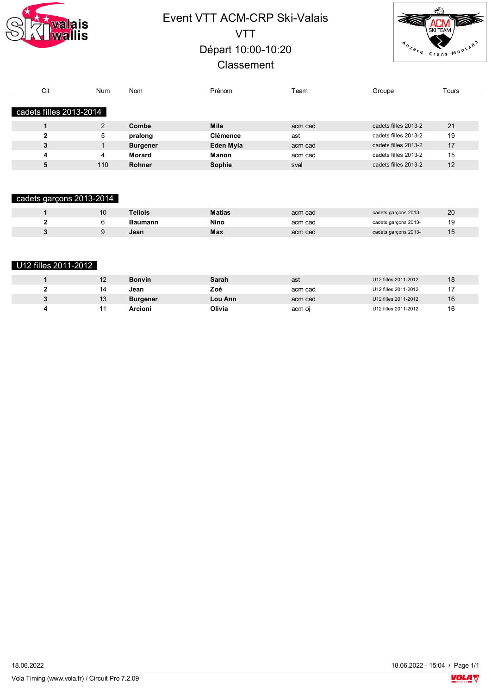

# Event VTT ACM-CRP Ski-Valais VTT Départ 10:00-10:20 **Classement**



| Clt                     | <b>Num</b>     | Nom             | Prénom          | $\tau$ eam | Groupe               | Tours |
|-------------------------|----------------|-----------------|-----------------|------------|----------------------|-------|
| cadets filles 2013-2014 |                |                 |                 |            |                      |       |
|                         |                |                 |                 |            |                      |       |
|                         | $\overline{2}$ | Combe           | Mila            | acm cad    | cadets filles 2013-2 | 21    |
| ,                       | 5              | pralong         | <b>Clémence</b> | ast        | cadets filles 2013-2 | 19    |
| 3                       |                | <b>Burgener</b> | Eden Myla       | acm cad    | cadets filles 2013-2 | 17    |
| 4                       | 4              | Morard          | <b>Manon</b>    | acm cad    | cadets filles 2013-2 | 15    |
|                         | 110            | <b>Rohner</b>   | Sophie          | sval       | cadets filles 2013-2 | 12    |

#### cadets garçons 2013-2014

| 10 | Tellols | <b>Matias</b> | acm cad | cadets garçons 2013- | 20 |
|----|---------|---------------|---------|----------------------|----|
|    | Baumann | Nino          | acm cad | cadets garçons 2013- |    |
|    | Jean    | Max           | acm cad | cadets garçons 2013- | 15 |

#### U12 filles 2011-2012

| 12 | <b>Bonvin</b>   | Sarah   | ast     | U12 filles 2011-2012 | 18 |
|----|-----------------|---------|---------|----------------------|----|
| 14 | Jean            | Zoé     | acm cad | U12 filles 2011-2012 |    |
| 13 | <b>Burgener</b> | Lou Ann | acm cad | U12 filles 2011-2012 | 16 |
|    | Arcioni         | Olivia  | acm oj  | U12 filles 2011-2012 | 16 |

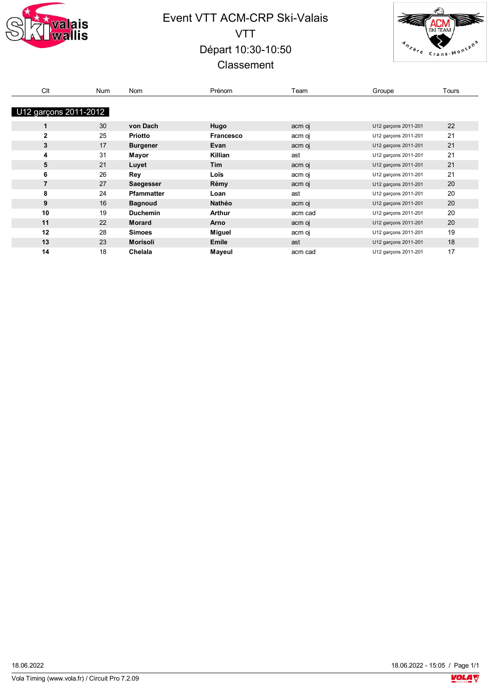

# Event VTT ACM-CRP Ski-Valais VTT Départ 10:30-10:50 **Classement**



| Clt                   | Num | <b>Nom</b>        | Prénom           | Team    | Groupe               | Tours |
|-----------------------|-----|-------------------|------------------|---------|----------------------|-------|
|                       |     |                   |                  |         |                      |       |
| U12 garçons 2011-2012 |     |                   |                  |         |                      |       |
| 1                     | 30  | von Dach          | Hugo             | acm oj  | U12 garçons 2011-201 | 22    |
| $\overline{2}$        | 25  | <b>Priotto</b>    | <b>Francesco</b> | acm oj  | U12 garçons 2011-201 | 21    |
| 3                     | 17  | <b>Burgener</b>   | Evan             | acm oj  | U12 garçons 2011-201 | 21    |
| 4                     | 31  | Mayor             | Killian          | ast     | U12 garçons 2011-201 | 21    |
| 5                     | 21  | Luyet             | <b>Tim</b>       | acm oj  | U12 garçons 2011-201 | 21    |
| 6                     | 26  | Rey               | Loïs             | acm oj  | U12 garçons 2011-201 | 21    |
| 7                     | 27  | Saegesser         | Rémy             | acm oj  | U12 garçons 2011-201 | 20    |
| 8                     | 24  | <b>Pfammatter</b> | Loan             | ast     | U12 garçons 2011-201 | 20    |
| 9                     | 16  | <b>Bagnoud</b>    | Nathéo           | acm oj  | U12 garçons 2011-201 | 20    |
| 10                    | 19  | <b>Duchemin</b>   | Arthur           | acm cad | U12 garçons 2011-201 | 20    |
| 11                    | 22  | <b>Morard</b>     | Arno             | acm oj  | U12 garçons 2011-201 | 20    |
| 12                    | 28  | <b>Simoes</b>     | Miguel           | acm oj  | U12 garçons 2011-201 | 19    |
| 13                    | 23  | <b>Morisoli</b>   | Emile            | ast     | U12 garçons 2011-201 | 18    |
| 14                    | 18  | Chelala           | Mayeul           | acm cad | U12 garçons 2011-201 | 17    |

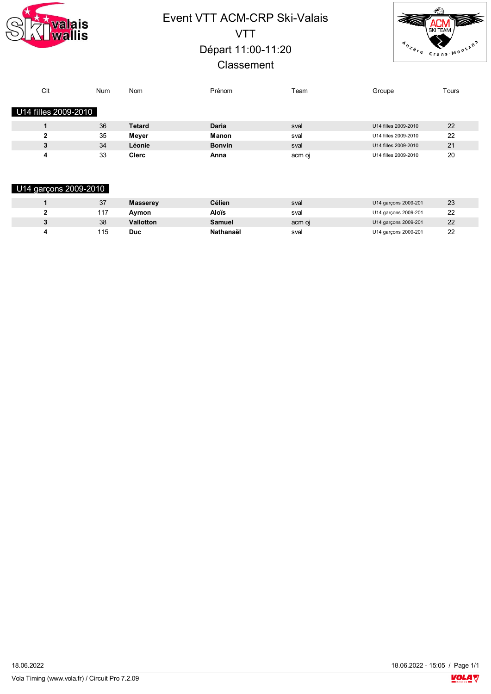

# Event VTT ACM-CRP Ski-Valais VTT Départ 11:00-11:20 **Classement**



| Clt                  | <b>Num</b> | <b>Nom</b>   | Prénom        | Team   | Groupe               | Tours |
|----------------------|------------|--------------|---------------|--------|----------------------|-------|
|                      |            |              |               |        |                      |       |
| U14 filles 2009-2010 |            |              |               |        |                      |       |
|                      |            |              |               |        |                      |       |
|                      | 36         | Tetard       | <b>Daria</b>  | sval   | U14 filles 2009-2010 | 22    |
|                      | 35         | Mever        | <b>Manon</b>  | sval   | U14 filles 2009-2010 | 22    |
|                      | 34         | Léonie       | <b>Bonvin</b> | sval   | U14 filles 2009-2010 | 21    |
|                      | 33         | <b>Clerc</b> | Anna          | acm oi | U14 filles 2009-2010 | 20    |

#### U14 garçons 2009-2010

| 37  | <b>Masserev</b>  | <b>Célien</b> | sval   | U14 garçons 2009-201 | 23 |
|-----|------------------|---------------|--------|----------------------|----|
| 117 | Avmon            | Aloïs         | sval   | U14 garcons 2009-201 | 22 |
| 38  | <b>Vallotton</b> | Samuel        | acm oi | U14 garçons 2009-201 | 22 |
| 115 | Duc              | Nathanaël     | svai   | U14 garçons 2009-201 | 22 |

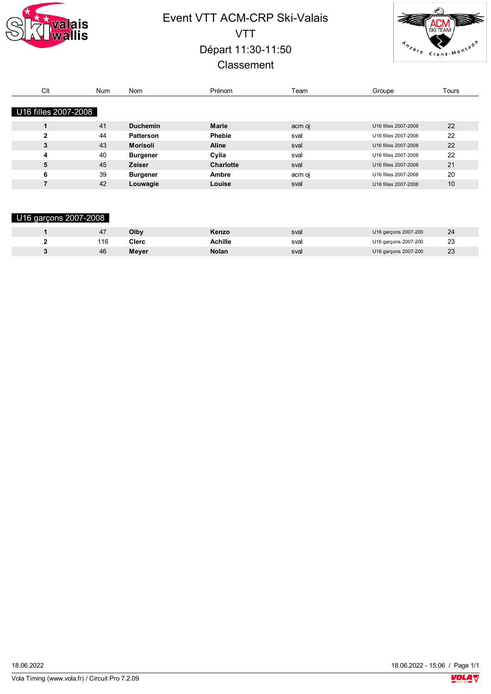

# Event VTT ACM-CRP Ski-Valais VTT Départ 11:30-11:50 **Classement**



| Clt                  | <b>Num</b> | <b>Nom</b>       | Prénom           | Геаm   | Groupe               | Tours |
|----------------------|------------|------------------|------------------|--------|----------------------|-------|
|                      |            |                  |                  |        |                      |       |
| U16 filles 2007-2008 |            |                  |                  |        |                      |       |
|                      | 41         | <b>Duchemin</b>  | <b>Marie</b>     | acm oj | U16 filles 2007-2008 | 22    |
| 2                    | 44         | <b>Patterson</b> | <b>Phebie</b>    | sval   | U16 filles 2007-2008 | 22    |
| 3                    | 43         | Morisoli         | Aline            | sval   | U16 filles 2007-2008 | 22    |
| 4                    | 40         | <b>Burgener</b>  | Cylia            | sval   | U16 filles 2007-2008 | 22    |
| 5                    | 45         | <b>Zeiser</b>    | <b>Charlotte</b> | sval   | U16 filles 2007-2008 | 21    |
| 6                    | 39         | <b>Burgener</b>  | Ambre            | acm oj | U16 filles 2007-2008 | 20    |
|                      | 42         | Louwagie         | Louise           | sval   | U16 filles 2007-2008 | 10    |

#### U16 garçons 2007-2008

|     | Olby  | Kenzo          | sval | U16 garçons 2007-200 | 24           |
|-----|-------|----------------|------|----------------------|--------------|
| 116 | Clerc | <b>Achille</b> | sval | U16 garçons 2007-200 | 23<br>$\sim$ |
| 46  | Meyer | Nolan          | sval | U16 garçons 2007-200 | 23           |